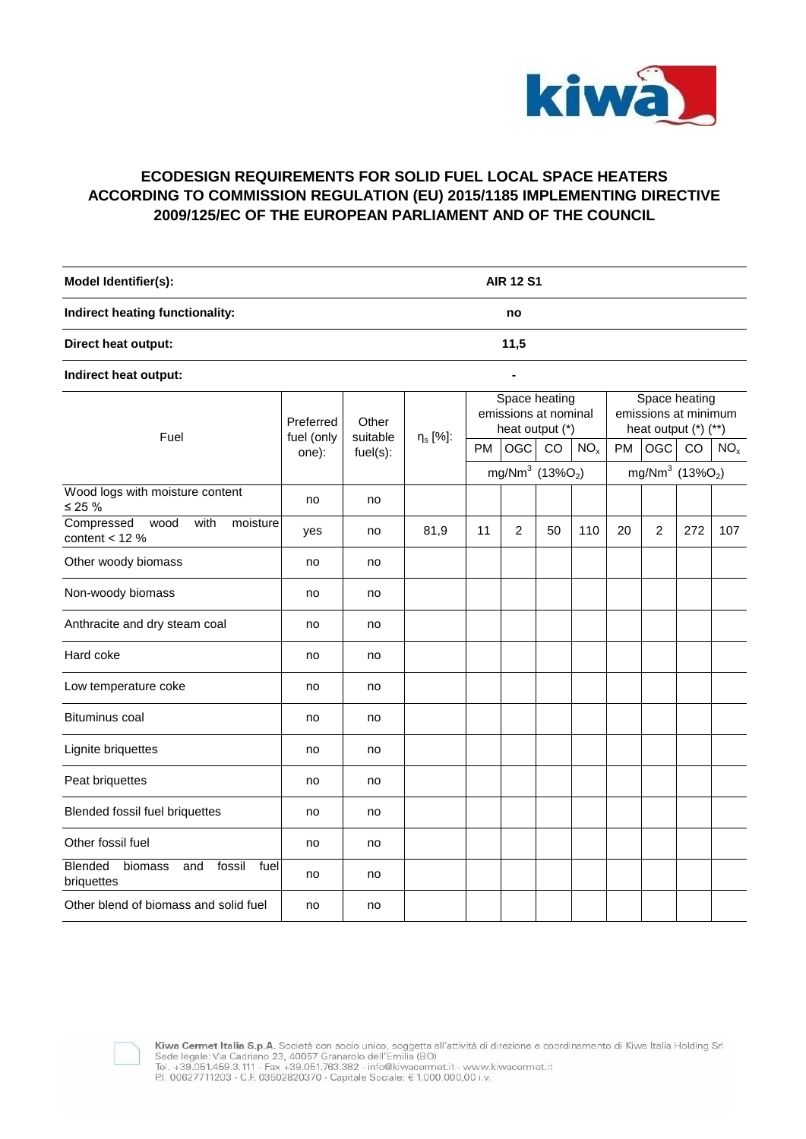

## **ECODESIGN REQUIREMENTS FOR SOLID FUEL LOCAL SPACE HEATERS ACCORDING TO COMMISSION REGULATION (EU) 2015/1185 IMPLEMENTING DIRECTIVE 2009/125/EC OF THE EUROPEAN PARLIAMENT AND OF THE COUNCIL**

| Model Identifier(s):            | <b>AIR 12 S1</b> |  |
|---------------------------------|------------------|--|
| Indirect heating functionality: | no               |  |
| Direct heat output:             | 11,5             |  |

**Indirect heat output: -**

| Fuel                                                             | Preferred<br>fuel (only<br>one): | Other<br>suitable<br>fuel(s): | $\eta_s$ [%]: | Space heating<br>emissions at nominal<br>heat output (*) |                |    |                 | Space heating<br>emissions at minimum<br>heat output (*) (**) |                                         |     |                 |
|------------------------------------------------------------------|----------------------------------|-------------------------------|---------------|----------------------------------------------------------|----------------|----|-----------------|---------------------------------------------------------------|-----------------------------------------|-----|-----------------|
|                                                                  |                                  |                               |               | <b>PM</b>                                                | <b>OGC</b>     | CO | NO <sub>x</sub> | <b>PM</b>                                                     | <b>OGC</b>                              | CO  | NO <sub>x</sub> |
|                                                                  |                                  |                               |               | mg/Nm <sup>3</sup> (13%O <sub>2</sub> )                  |                |    |                 |                                                               | mg/Nm <sup>3</sup> (13%O <sub>2</sub> ) |     |                 |
| Wood logs with moisture content<br>$≤ 25 %$                      | no                               | no                            |               |                                                          |                |    |                 |                                                               |                                         |     |                 |
| with<br>Compressed<br>wood<br>moisture<br>content $<$ 12 %       | yes                              | no                            | 81,9          | 11                                                       | $\overline{2}$ | 50 | 110             | 20                                                            | $\overline{c}$                          | 272 | 107             |
| Other woody biomass                                              | no                               | no                            |               |                                                          |                |    |                 |                                                               |                                         |     |                 |
| Non-woody biomass                                                | no                               | no                            |               |                                                          |                |    |                 |                                                               |                                         |     |                 |
| Anthracite and dry steam coal                                    | no                               | no                            |               |                                                          |                |    |                 |                                                               |                                         |     |                 |
| Hard coke                                                        | no                               | no                            |               |                                                          |                |    |                 |                                                               |                                         |     |                 |
| Low temperature coke                                             | no                               | no                            |               |                                                          |                |    |                 |                                                               |                                         |     |                 |
| <b>Bituminus coal</b>                                            | no                               | no                            |               |                                                          |                |    |                 |                                                               |                                         |     |                 |
| Lignite briquettes                                               | no                               | no                            |               |                                                          |                |    |                 |                                                               |                                         |     |                 |
| Peat briquettes                                                  | no                               | no                            |               |                                                          |                |    |                 |                                                               |                                         |     |                 |
| Blended fossil fuel briquettes                                   | no                               | no                            |               |                                                          |                |    |                 |                                                               |                                         |     |                 |
| Other fossil fuel                                                | no                               | no                            |               |                                                          |                |    |                 |                                                               |                                         |     |                 |
| fossil<br><b>Blended</b><br>biomass<br>fuel<br>and<br>briquettes | no                               | no                            |               |                                                          |                |    |                 |                                                               |                                         |     |                 |
| Other blend of biomass and solid fuel                            | no                               | no                            |               |                                                          |                |    |                 |                                                               |                                         |     |                 |



**Kiwa Cermet Italia S.p.A.** Società con socio unico, soggetta all'attività di direzione e coordinamento di Kiwa Italia Holding Srl<br>Sede legale: Via Cadriano 23, 40057 Granarolo dell'Emilia (BO)<br>Tel. +39.051.459.3.111 - Fa